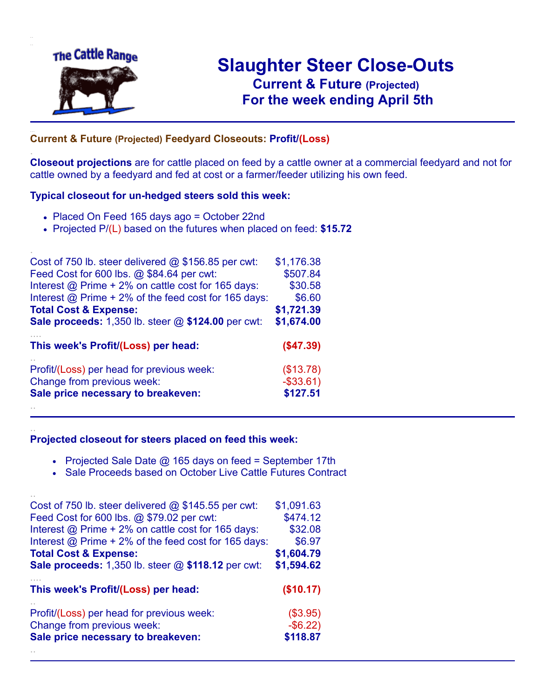

.

..

..

# **Slaughter Steer Close-Outs Current & Future (Projected)** .**For the week ending April 5th**

#### **Current & Future (Projected) Feedyard Closeouts: Profit/(Loss)**

**Closeout projections** are for cattle placed on feed by a cattle owner at a commercial feedyard and not for cattle owned by a feedyard and fed at cost or a farmer/feeder utilizing his own feed.

#### **Typical closeout for un-hedged steers sold this week:**

- Placed On Feed 165 days ago = October 22nd
- Projected P/(L) based on the futures when placed on feed: **\$15.72**

| Cost of 750 lb. steer delivered $@$ \$156.85 per cwt:       | \$1,176.38   |
|-------------------------------------------------------------|--------------|
| Feed Cost for 600 lbs. @ \$84.64 per cwt:                   | \$507.84     |
| Interest @ Prime + 2% on cattle cost for 165 days:          | \$30.58      |
| Interest $\omega$ Prime + 2% of the feed cost for 165 days: | \$6.60       |
| <b>Total Cost &amp; Expense:</b>                            | \$1,721.39   |
| <b>Sale proceeds:</b> 1,350 lb. steer @ \$124.00 per cwt:   | \$1,674.00   |
| This week's Profit/(Loss) per head:                         | (\$47.39)    |
| Profit/(Loss) per head for previous week:                   | (\$13.78)    |
| Change from previous week:                                  | $-$ \$33.61) |
| Sale price necessary to breakeven:                          | \$127.51     |
|                                                             |              |

#### **Projected closeout for steers placed on feed this week:**

- Projected Sale Date @ 165 days on feed = September 17th
- Sale Proceeds based on October Live Cattle Futures Contract

| Cost of 750 lb. steer delivered $@$ \$145.55 per cwt:       | \$1,091.63  |
|-------------------------------------------------------------|-------------|
| Feed Cost for 600 lbs. @ \$79.02 per cwt:                   | \$474.12    |
| Interest $\omega$ Prime + 2% on cattle cost for 165 days:   | \$32.08     |
| Interest $\omega$ Prime + 2% of the feed cost for 165 days: | \$6.97      |
| <b>Total Cost &amp; Expense:</b>                            | \$1,604.79  |
| <b>Sale proceeds:</b> 1,350 lb. steer @ \$118.12 per cwt:   | \$1,594.62  |
| This week's Profit/(Loss) per head:                         | (\$10.17)   |
| Profit/(Loss) per head for previous week:                   | (\$3.95)    |
| Change from previous week:                                  | $-$ \$6.22) |
| Sale price necessary to breakeven:                          | \$118.87    |